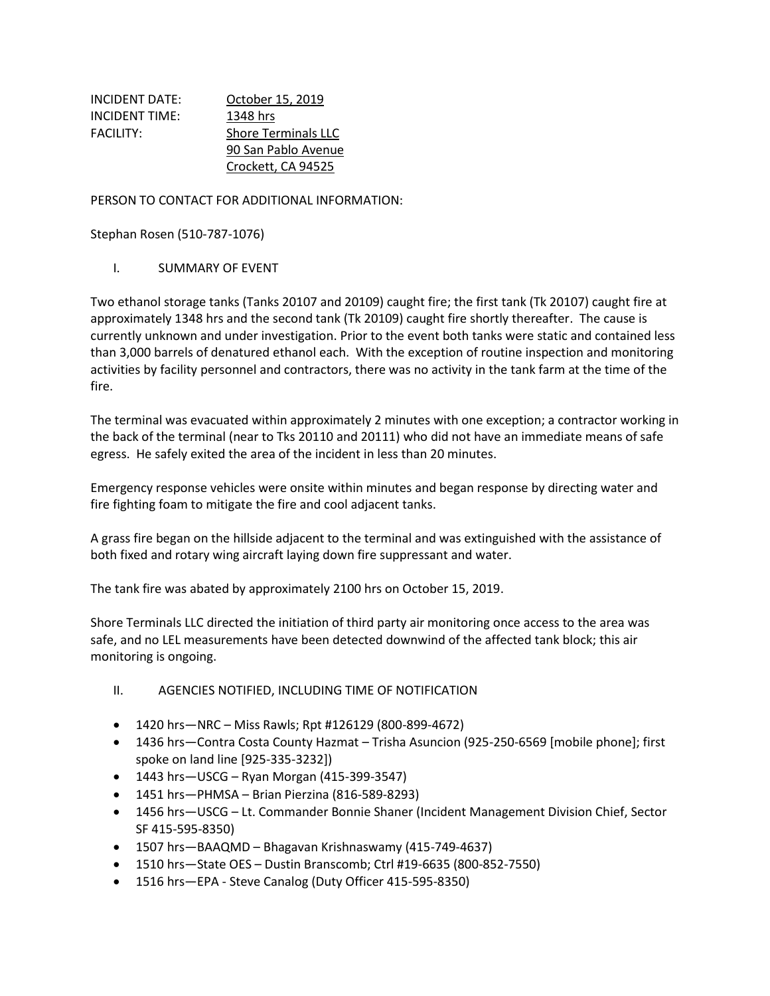| INCIDENT DATE:   | October 15, 2019           |
|------------------|----------------------------|
| INCIDENT TIME:   | 1348 hrs                   |
| <b>FACILITY:</b> | <b>Shore Terminals LLC</b> |
|                  | 90 San Pablo Avenue        |
|                  | Crockett, CA 94525         |

PERSON TO CONTACT FOR ADDITIONAL INFORMATION:

Stephan Rosen (510-787-1076)

#### I. SUMMARY OF EVENT

Two ethanol storage tanks (Tanks 20107 and 20109) caught fire; the first tank (Tk 20107) caught fire at approximately 1348 hrs and the second tank (Tk 20109) caught fire shortly thereafter. The cause is currently unknown and under investigation. Prior to the event both tanks were static and contained less than 3,000 barrels of denatured ethanol each. With the exception of routine inspection and monitoring activities by facility personnel and contractors, there was no activity in the tank farm at the time of the fire.

The terminal was evacuated within approximately 2 minutes with one exception; a contractor working in the back of the terminal (near to Tks 20110 and 20111) who did not have an immediate means of safe egress. He safely exited the area of the incident in less than 20 minutes.

Emergency response vehicles were onsite within minutes and began response by directing water and fire fighting foam to mitigate the fire and cool adjacent tanks.

A grass fire began on the hillside adjacent to the terminal and was extinguished with the assistance of both fixed and rotary wing aircraft laying down fire suppressant and water.

The tank fire was abated by approximately 2100 hrs on October 15, 2019.

Shore Terminals LLC directed the initiation of third party air monitoring once access to the area was safe, and no LEL measurements have been detected downwind of the affected tank block; this air monitoring is ongoing.

- II. AGENCIES NOTIFIED, INCLUDING TIME OF NOTIFICATION
- 1420 hrs—NRC Miss Rawls; Rpt #126129 (800-899-4672)
- 1436 hrs—Contra Costa County Hazmat Trisha Asuncion (925-250-6569 [mobile phone]; first spoke on land line [925-335-3232])
- 1443 hrs—USCG Ryan Morgan (415-399-3547)
- 1451 hrs—PHMSA Brian Pierzina (816-589-8293)
- 1456 hrs—USCG Lt. Commander Bonnie Shaner (Incident Management Division Chief, Sector SF 415-595-8350)
- 1507 hrs—BAAQMD Bhagavan Krishnaswamy (415-749-4637)
- 1510 hrs—State OES Dustin Branscomb; Ctrl #19-6635 (800-852-7550)
- 1516 hrs—EPA Steve Canalog (Duty Officer 415-595-8350)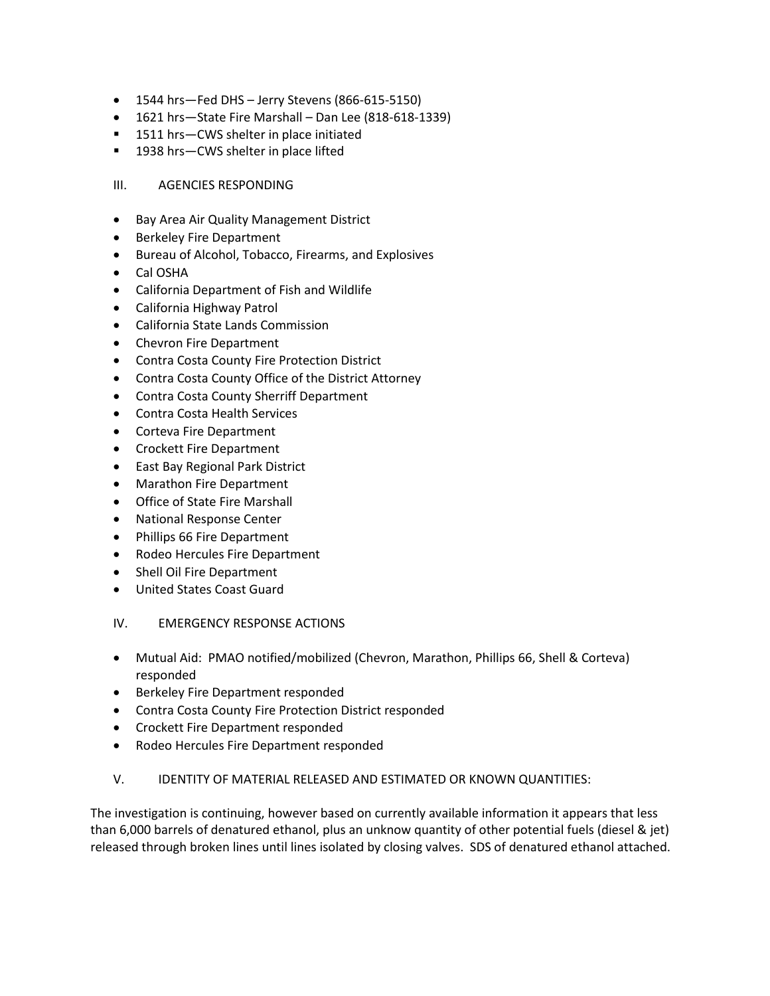- 1544 hrs—Fed DHS Jerry Stevens (866-615-5150)
- 1621 hrs—State Fire Marshall Dan Lee (818-618-1339)
- 1511 hrs-CWS shelter in place initiated
- 1938 hrs-CWS shelter in place lifted

### III. AGENCIES RESPONDING

- Bay Area Air Quality Management District
- Berkeley Fire Department
- Bureau of Alcohol, Tobacco, Firearms, and Explosives
- Cal OSHA
- California Department of Fish and Wildlife
- California Highway Patrol
- California State Lands Commission
- Chevron Fire Department
- Contra Costa County Fire Protection District
- Contra Costa County Office of the District Attorney
- Contra Costa County Sherriff Department
- Contra Costa Health Services
- Corteva Fire Department
- Crockett Fire Department
- East Bay Regional Park District
- Marathon Fire Department
- Office of State Fire Marshall
- National Response Center
- Phillips 66 Fire Department
- Rodeo Hercules Fire Department
- Shell Oil Fire Department
- United States Coast Guard

### IV. EMERGENCY RESPONSE ACTIONS

- Mutual Aid: PMAO notified/mobilized (Chevron, Marathon, Phillips 66, Shell & Corteva) responded
- Berkeley Fire Department responded
- Contra Costa County Fire Protection District responded
- Crockett Fire Department responded
- Rodeo Hercules Fire Department responded
- V. IDENTITY OF MATERIAL RELEASED AND ESTIMATED OR KNOWN QUANTITIES:

The investigation is continuing, however based on currently available information it appears that less than 6,000 barrels of denatured ethanol, plus an unknow quantity of other potential fuels (diesel & jet) released through broken lines until lines isolated by closing valves. SDS of denatured ethanol attached.